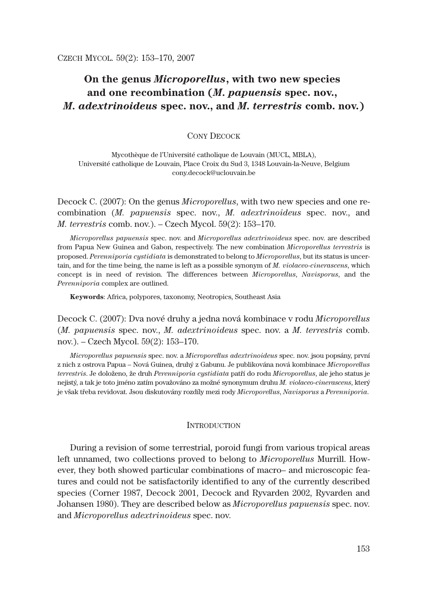CZECH MYCOL. 59(2): 153–170, 2007

# **On the genus** *Microporellus***, with two new species and one recombination (***M. papuensis* **spec. nov.,** *M. adextrinoideus* **spec. nov., and** *M. terrestris* **comb. nov.)**

## CONY DECOCK

Mycothèque de l'Université catholique de Louvain (MUCL, MBLA), Université catholique de Louvain, Place Croix du Sud 3, 1348 Louvain-la-Neuve, Belgium cony.decock@uclouvain.be

Decock C. (2007): On the genus *Microporellus*, with two new species and one recombination (*M. papuensis* spec. nov., *M. adextrinoideus* spec. nov., and *M. terrestris* comb. nov.). – Czech Mycol. 59(2): 153–170.

*Microporellus papuensis* spec. nov. and *Microporellus adextrinoideus* spec. nov. are described from Papua New Guinea and Gabon, respectively. The new combination *Microporellus terrestris* is proposed. *Perenniporia cystidiata* is demonstrated to belong to *Microporellus*, but its status is uncertain, and for the time being, the name is left as a possible synonym of *M. violaceo-cinerascens*, which concept is in need of revision. The differences between *Microporellus*, *Navisporus*, and the *Perenniporia* complex are outlined.

**Keywords**: Africa, polypores, taxonomy, Neotropics, Southeast Asia

Decock C. (2007): Dva nové druhy a jedna nová kombinace v rodu *Microporellus* (*M. papuensis* spec. nov., *M. adextrinoideus* spec. nov. a *M. terrestris* comb. nov.). – Czech Mycol. 59(2): 153–170.

*Microporellus papuensis* spec. nov. a *Microporellus adextrinoideus* spec. nov. jsou popsány, první z nich z ostrova Papua – Nová Guinea, druhý z Gabunu. Je publikována nová kombinace *Microporellus terrestris*. Je doloženo, že druh *Perenniporia cystidiata* patří do rodu *Microporellus*, ale jeho status je nejistý, a tak je toto jméno zatím považováno za možné synonymum druhu *M. violaceo-cinerascens*, který je však třeba revidovat. Jsou diskutovány rozdíly mezi rody *Microporellus*, *Navisporus* a *Perenniporia*.

#### **INTRODUCTION**

During a revision of some terrestrial, poroid fungi from various tropical areas left unnamed, two collections proved to belong to *Microporellus* Murrill. However, they both showed particular combinations of macro– and microscopic features and could not be satisfactorily identified to any of the currently described species (Corner 1987, Decock 2001, Decock and Ryvarden 2002, Ryvarden and Johansen 1980). They are described below as *Microporellus papuensis* spec. nov. and *Microporellus adextrinoideus* spec. nov.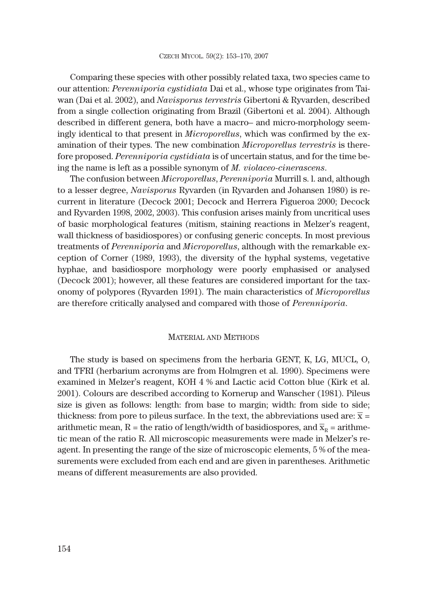Comparing these species with other possibly related taxa, two species came to our attention: *Perenniporia cystidiata* Dai et al., whose type originates from Taiwan (Dai et al. 2002), and *Navisporus terrestris* Gibertoni & Ryvarden, described from a single collection originating from Brazil (Gibertoni et al. 2004). Although described in different genera, both have a macro– and micro-morphology seemingly identical to that present in *Microporellus*, which was confirmed by the examination of their types. The new combination *Microporellus terrestris* is therefore proposed. *Perenniporia cystidiata* is of uncertain status, and for the time being the name is left as a possible synonym of *M. violaceo-cinerascens*.

The confusion between *Microporellus*, *Perenniporia* Murrill s. l. and, although to a lesser degree, *Navisporus* Ryvarden (in Ryvarden and Johansen 1980) is recurrent in literature (Decock 2001; Decock and Herrera Figueroa 2000; Decock and Ryvarden 1998, 2002, 2003). This confusion arises mainly from uncritical uses of basic morphological features (mitism, staining reactions in Melzer's reagent, wall thickness of basidiospores) or confusing generic concepts. In most previous treatments of *Perenniporia* and *Microporellus*, although with the remarkable exception of Corner (1989, 1993), the diversity of the hyphal systems, vegetative hyphae, and basidiospore morphology were poorly emphasised or analysed (Decock 2001); however, all these features are considered important for the taxonomy of polypores (Ryvarden 1991). The main characteristics of *Microporellus* are therefore critically analysed and compared with those of *Perenniporia*.

## MATERIAL AND METHODS

The study is based on specimens from the herbaria GENT, K, LG, MUCL, O, and TFRI (herbarium acronyms are from Holmgren et al. 1990). Specimens were examined in Melzer's reagent, KOH 4 % and Lactic acid Cotton blue (Kirk et al. 2001). Colours are described according to Kornerup and Wanscher (1981). Pileus size is given as follows: length: from base to margin; width: from side to side; thickness: from pore to pileus surface. In the text, the abbreviations used are:  $\bar{x}$  = arithmetic mean, R = the ratio of length/width of basidiospores, and  $\bar{x}_R$  = arithmetic mean of the ratio R. All microscopic measurements were made in Melzer's reagent. In presenting the range of the size of microscopic elements, 5 % of the measurements were excluded from each end and are given in parentheses. Arithmetic means of different measurements are also provided.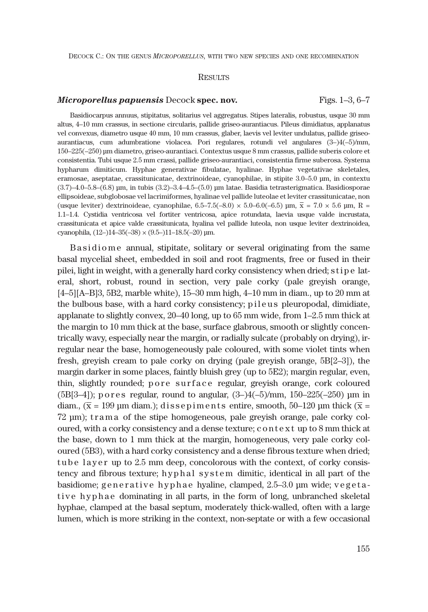#### **RESULTS**

#### *Microporellus papuensis* Decock spec. nov. Figs. 1–3, 6–7

Basidiocarpus annuus, stipitatus, solitarius vel aggregatus. Stipes lateralis, robustus, usque 30 mm altus, 4–10 mm crassus, in sectione circularis, pallide griseo-aurantiacus. Pileus dimidiatus, applanatus vel convexus, diametro usque 40 mm, 10 mm crassus, glaber, laevis vel leviter undulatus, pallide griseoaurantiacus, cum adumbratione violacea. Pori regulares, rotundi vel angulares (3–)4(–5)/mm, 150–225(–250) μm diametro, griseo-aurantiaci. Contextus usque 8 mm crassus, pallide suberis colore et consistentia. Tubi usque 2.5 mm crassi, pallide griseo-aurantiaci, consistentia firme suberosa. Systema hypharum dimiticum. Hyphae generativae fibulatae, hyalinae. Hyphae vegetativae skeletales, eramosae, aseptatae, crassitunicatae, dextrinoideae, cyanophilae, in stipite 3.0–5.0 μm, in contextu (3.7)–4.0–5.8–(6.8) μm, in tubis (3.2)–3.4–4.5–(5.0) μm latae. Basidia tetrasterigmatica. Basidiosporae ellipsoideae, subglobosae vel lacrimiformes, hyalinae vel pallide luteolae et leviter crassitunicatae, non (usque leviter) dextrinoideae, cyanophilae,  $6.5-7.5(-8.0) \times 5.0-6.0(-6.5)$  μm,  $\bar{x} = 7.0 \times 5.6$  μm, R = 1.1–1.4. Cystidia ventricosa vel fortiter ventricosa, apice rotundata, laevia usque valde incrustata, crassitunicata et apice valde crassitunicata, hyalina vel pallide luteola, non usque leviter dextrinoidea, cyanophila, (12–)14–35(–38) × (9.5–)11–18.5(–20) μm.

B a sidiome annual, stipitate, solitary or several originating from the same basal mycelial sheet, embedded in soil and root fragments, free or fused in their pilei, light in weight, with a generally hard corky consistency when dried; s t i p e lateral, short, robust, round in section, very pale corky (pale greyish orange, [4–5][A–B]3, 5B2, marble white), 15–30 mm high, 4–10 mm in diam., up to 20 mm at the bulbous base, with a hard corky consistency; p i l e u s pleuropodal, dimidiate, applanate to slightly convex, 20–40 long, up to 65 mm wide, from 1–2.5 mm thick at the margin to 10 mm thick at the base, surface glabrous, smooth or slightly concentrically wavy, especially near the margin, or radially sulcate (probably on drying), irregular near the base, homogeneously pale coloured, with some violet tints when fresh, greyish cream to pale corky on drying (pale greyish orange, 5B[2–3]), the margin darker in some places, faintly bluish grey (up to 5E2); margin regular, even, thin, slightly rounded; p o r e surface regular, grevish orange, cork coloured  $(5B[3-4])$ ; por es regular, round to angular,  $(3-)(4-5)/mm$ ,  $150-225(-250)$  µm in diam.,  $(\bar{x} = 199 \text{ µm}$  diam.); d is sep iments entire, smooth, 50–120  $\mu$ m thick  $(\bar{x} =$ 72 μm); trama of the stipe homogeneous, pale greyish orange, pale corky coloured, with a corky consistency and a dense texture; c o  $n \in \mathbb{R}$  t up to 8 mm thick at the base, down to 1 mm thick at the margin, homogeneous, very pale corky coloured (5B3), with a hard corky consistency and a dense fibrous texture when dried; tube layer up to  $2.5$  mm deep, concolorous with the context, of corky consistency and fibrous texture; hyphal system dimitic, identical in all part of the basidiome; generative hyphae hyaline, clamped, 2.5–3.0 μm wide; vegetative hyphae dominating in all parts, in the form of long, unbranched skeletal hyphae, clamped at the basal septum, moderately thick-walled, often with a large lumen, which is more striking in the context, non-septate or with a few occasional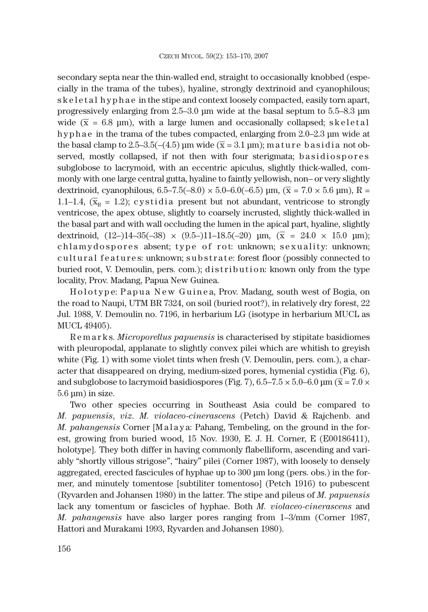secondary septa near the thin-walled end, straight to occasionally knobbed (especially in the trama of the tubes), hyaline, strongly dextrinoid and cyanophilous; s k e l e t a l h y p h a e in the stipe and context loosely compacted, easily torn apart, progressively enlarging from 2.5–3.0 μm wide at the basal septum to 5.5–8.3 μm wide  $(\bar{x} = 6.8 \text{ µm})$ , with a large lumen and occasionally collapsed; skeletal h y p h a e in the trama of the tubes compacted, enlarging from 2.0–2.3 μm wide at the basal clamp to 2.5–3.5(–(4.5) μm wide ( $\bar{x}$  = 3.1 μm); m a ture b a sidia not observed, mostly collapsed, if not then with four sterigmata; basidiospores subglobose to lacrymoid, with an eccentric apiculus, slightly thick-walled, commonly with one large central gutta, hyaline to faintly yellowish, non– or very slightly dextrinoid, cyanophilous,  $6.5-7.5(-8.0) \times 5.0-6.0(-6.5)$  μm,  $(\bar{x} = 7.0 \times 5.6)$  μm,  $R =$ 1.1–1.4,  $(\bar{x}_R = 1.2)$ ; cystidia present but not abundant, ventricose to strongly ventricose, the apex obtuse, slightly to coarsely incrusted, slightly thick-walled in the basal part and with wall occluding the lumen in the apical part, hyaline, slightly dextrinoid,  $(12-)14-35(-38) \times (9.5-11-18.5(-20) \text{ µm}, (\bar{x} = 24.0 \times 15.0 \text{ µm})$ ; c h l a m y d o sp o r es absent; t y p e o f r o t: unknown; s e x u a lity: unknown; cultural features: unknown; substrate: forest floor (possibly connected to buried root, V. Demoulin, pers. com.); distribution: known only from the type locality, Prov. Madang, Papua New Guinea.

Holotype: Papua New Guinea, Prov. Madang, south west of Bogia, on the road to Naupi, UTM BR 7324, on soil (buried root?), in relatively dry forest, 22 Jul. 1988, V. Demoulin no. 7196, in herbarium LG (isotype in herbarium MUCL as MUCL 49405).

R e m a r k s. *Microporellus papuensis* is characterised by stipitate basidiomes with pleuropodal, applanate to slightly convex pilei which are whitish to greyish white (Fig. 1) with some violet tints when fresh (V. Demoulin, pers. com.), a character that disappeared on drying, medium-sized pores, hymenial cystidia (Fig. 6), and subglobose to lacrymoid basidiospores (Fig. 7),  $6.5-7.5 \times 5.0-6.0 \,\mathrm{\upmu m}$  ( $\overline{x} = 7.0 \times$ 5.6 μm) in size.

Two other species occurring in Southeast Asia could be compared to *M. papuensis*, *viz. M. violaceo-cinerascens* (Petch) David & Rajchenb. and *M. pahangensis* Corner [Malaya: Pahang, Tembeling, on the ground in the forest, growing from buried wood, 15 Nov. 1930, E. J. H. Corner, E (E00186411), holotype]*.* They both differ in having commonly flabelliform, ascending and variably "shortly villous strigose", "hairy" pilei (Corner 1987), with loosely to densely aggregated, erected fascicules of hyphae up to 300 μm long (pers. obs.) in the former, and minutely tomentose [subtiliter tomentoso] (Petch 1916) to pubescent (Ryvarden and Johansen 1980) in the latter. The stipe and pileus of *M. papuensis* lack any tomentum or fascicles of hyphae. Both *M. violaceo-cinerascens* and *M. pahangensis* have also larger pores ranging from 1–3/mm (Corner 1987, Hattori and Murakami 1993, Ryvarden and Johansen 1980).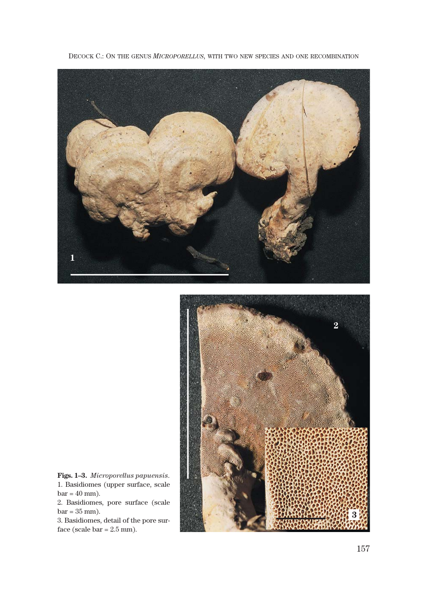

DECOCK C.: ON THE GENUS *MICROPORELLUS*, WITH TWO NEW SPECIES AND ONE RECOMBINATION



**Figs. 1–3.** *Microporellus papuensis*. 1. Basidiomes (upper surface, scale  $bar = 40$  mm).

2. Basidiomes, pore surface (scale bar = 35 mm).

3. Basidiomes, detail of the pore surface (scale  $bar = 2.5$  mm).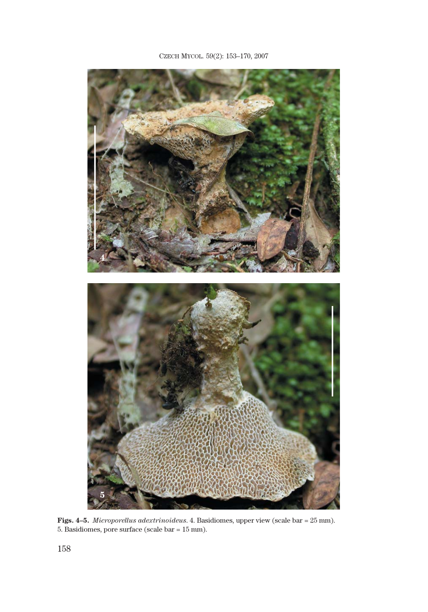CZECH MYCOL. 59(2): 153–170, 2007



**Figs. 4–5.** *Microporellus adextrinoideus*. 4. Basidiomes, upper view (scale bar = 25 mm). 5. Basidiomes, pore surface (scale bar = 15 mm).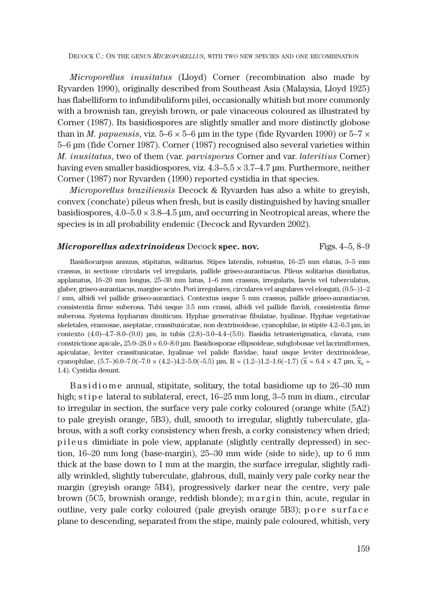*Microporellus inusitatus* (Lloyd) Corner (recombination also made by Ryvarden 1990), originally described from Southeast Asia (Malaysia, Lloyd 1925) has flabelliform to infundibuliform pilei, occasionally whitish but more commonly with a brownish tan, greyish brown, or pale vinaceous coloured as illustrated by Corner (1987). Its basidiospores are slightly smaller and more distinctly globose than in *M. papuensis*, viz.  $5-6 \times 5-6$  um in the type (fide Ryvarden 1990) or  $5-7 \times$ 5–6 μm (fide Corner 1987). Corner (1987) recognised also several varieties within *M. inusitatus*, two of them (var. *parvisporus* Corner and var. *lateritius* Corner) having even smaller basidiospores, viz.  $4.3-5.5 \times 3.7-4.7$  μm. Furthermore, neither Corner (1987) nor Ryvarden (1990) reported cystidia in that species.

*Microporellus braziliensis* Decock & Ryvarden has also a white to greyish, convex (conchate) pileus when fresh, but is easily distinguished by having smaller basidiospores,  $4.0-5.0 \times 3.8-4.5$  µm, and occurring in Neotropical areas, where the species is in all probability endemic (Decock and Ryvarden 2002).

## *Microporellus adextrinoideus* Decock **spec. nov.** Figs. 4–5, 8–9

Basidiocarpus annuus, stipitatus, solitarius. Stipes lateralis, robustus, 16–25 mm elatus, 3–5 mm crassus, in sectione circularis vel irregularis, pallide griseo-aurantiacus. Pileus solitarius dimidiatus, applanatus, 16–20 mm longus, 25–30 mm latus, 1–6 mm crassus, irregularis, laevis vel tuberculatus, glaber, griseo-aurantiacus, margine acuto. Pori irregulares, circulares vel angulares vel elongati, (0.5–)1–2 / mm, albidi vel pallide griseo-aurantiaci. Contextus usque 5 mm crassus, pallide griseo-aurantiacus, consistentia firme suberosa. Tubi usque 3.5 mm crassi, albidi vel pallide flavidi, consistentia firme suberosa. Systema hypharum dimiticum. Hyphae generativae fibulatae, hyalinae. Hyphae vegetativae skeletales, eramosae, aseptatae, crassitunicatae, non dextrinoideae, cyanophilae, in stipite 4.2–6.3 μm, in contexto (4.0)–4.7–8.0–(9.0) μm, in tubis (2.8)–3.0–4.4–(5.0). Basidia tetrasterigmatica, clavata, cum constrictione apicale**,** 25.0–28.0 × 6.0–8.0 μm. Basidiosporae ellipsoideae, subglobosae vel lacrimiformes, apiculatae, leviter crassitunicatae, hyalinae vel palide flavidae, haud usque leviter dextrinoideae, cyanophilae,  $(5.7-)6.0-7.0(-7.0 \times (4.2-)4.2-5.0(-5.5) \mu m, R = (1.2-)1.2-1.6(-1.7) (\bar{x} = 6.4 \times 4.7 \mu m, \bar{x}_p =$ 1.4). Cystidia desunt.

B a s i d i o m e annual, stipitate, solitary, the total basidiome up to  $26-30$  mm high; stipe lateral to sublateral, erect, 16–25 mm long, 3–5 mm in diam., circular to irregular in section, the surface very pale corky coloured (orange white (5A2) to pale greyish orange, 5B3), dull, smooth to irregular, slightly tuberculate, glabrous, with a soft corky consistency when fresh, a corky consistency when dried; p i l e us dimidiate in pole view, applanate (slightly centrally depressed) in section, 16–20 mm long (base-margin), 25–30 mm wide (side to side), up to 6 mm thick at the base down to 1 mm at the margin, the surface irregular, slightly radially wrinkled, slightly tuberculate, glabrous, dull, mainly very pale corky near the margin (greyish orange 5B4), progressively darker near the centre, very pale brown (5C5, brownish orange, reddish blonde); m a r g in thin, acute, regular in outline, very pale corky coloured (pale greyish orange 5B3); p or e surface plane to descending, separated from the stipe, mainly pale coloured, whitish, very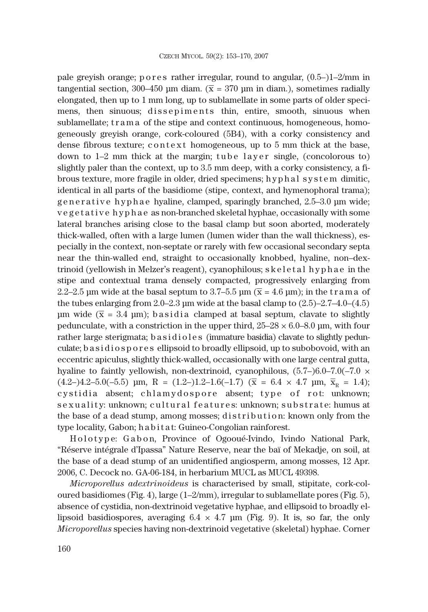pale greyish orange; p o r e s rather irregular, round to angular,  $(0.5-1)$ –2/mm in tangential section, 300–450 μm diam. ( $\bar{x}$  = 370 μm in diam.), sometimes radially elongated, then up to 1 mm long, up to sublamellate in some parts of older specimens, then sinuous; dissepiments thin, entire, smooth, sinuous when sublamellate; trama of the stipe and context continuous, homogeneous, homogeneously greyish orange, cork-coloured (5B4), with a corky consistency and dense fibrous texture;  $\text{context}$  homogeneous, up to 5 mm thick at the base, down to  $1-2$  mm thick at the margin; tube layer single, (concolorous to) slightly paler than the context, up to 3.5 mm deep, with a corky consistency, a fibrous texture, more fragile in older, dried specimens; hyphal system dimitic, identical in all parts of the basidiome (stipe, context, and hymenophoral trama); g e n e r a t i v e h v p h a e hyaline, clamped, sparingly branched,  $2.5-3.0$  um wide; v e g e t a t i v e h y p h a e as non-branched skeletal hyphae, occasionally with some lateral branches arising close to the basal clamp but soon aborted, moderately thick-walled, often with a large lumen (lumen wider than the wall thickness), especially in the context, non-septate or rarely with few occasional secondary septa near the thin-walled end, straight to occasionally knobbed, hyaline, non–dextrinoid (yellowish in Melzer's reagent), cyanophilous; skeletal hyphae in the stipe and contextual trama densely compacted, progressively enlarging from 2.2–2.5 μm wide at the basal septum to 3.7–5.5 μm ( $\bar{x}$  = 4.6 μm); in the trama of the tubes enlarging from  $2.0-2.3$  μm wide at the basal clamp to  $(2.5)-2.7-4.0-(4.5)$ μm wide  $(\bar{x} = 3.4 \text{ µm})$ ; b a sidia clamped at basal septum, clavate to slightly pedunculate, with a constriction in the upper third,  $25-28 \times 6.0-8.0$  μm, with four rather large sterigmata; b a s i d i o l e s (immature basidia) clavate to slightly pedunculate; b a sidiospores ellipsoid to broadly ellipsoid, up to subobovoid, with an eccentric apiculus, slightly thick-walled, occasionally with one large central gutta, hyaline to faintly yellowish, non-dextrinoid, cyanophilous,  $(5.7-)6.0-7.0(-7.0 \times$  $(4.2-)4.2-5.0(-5.5)$  μm, R =  $(1.2-)1.2-1.6(-1.7)$  ( $\bar{x}$  = 6.4 × 4.7 μm,  $\bar{x}_R$  = 1.4); c y stidia absent; chlamydospore absent; type of rot: unknown; s exuality: unknown; cultural features: unknown; substrate: humus at the base of a dead stump, among mosses; distribution: known only from the type locality, Gabon; h a b i t a t: Guineo-Congolian rainforest.

Holotype: Gabon, Province of Ogooué-Ivindo, Ivindo National Park, "Réserve intégrale d'Ipassa" Nature Reserve, near the baï of Mekadje, on soil, at the base of a dead stump of an unidentified angiosperm, among mosses, 12 Apr. 2006, C. Decock no. GA-06-184, in herbarium MUCL as MUCL 49398.

*Microporellus adextrinoideus* is characterised by small, stipitate, cork-coloured basidiomes (Fig. 4), large (1–2/mm), irregular to sublamellate pores (Fig. 5), absence of cystidia, non-dextrinoid vegetative hyphae, and ellipsoid to broadly ellipsoid basidiospores, averaging  $6.4 \times 4.7$  µm (Fig. 9). It is, so far, the only *Microporellus* species having non-dextrinoid vegetative (skeletal) hyphae. Corner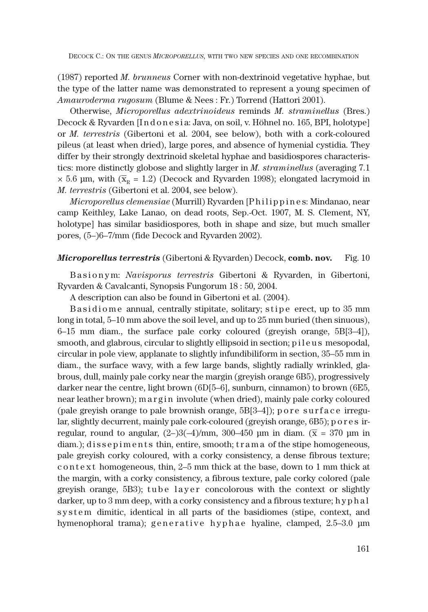(1987) reported *M. brunneus* Corner with non-dextrinoid vegetative hyphae, but the type of the latter name was demonstrated to represent a young specimen of *Amauroderma rugosum* (Blume & Nees : Fr.) Torrend (Hattori 2001).

Otherwise, *Microporellus adextrinoideus* reminds *M. straminellus* (Bres.) Decock & Ryvarden [Indonesia: Java, on soil, v. Höhnel no. 165, BPI, holotype] or *M. terrestris* (Gibertoni et al. 2004, see below), both with a cork-coloured pileus (at least when dried), large pores, and absence of hymenial cystidia. They differ by their strongly dextrinoid skeletal hyphae and basidiospores characteristics: more distinctly globose and slightly larger in *M. straminellus* (averaging 7.1  $\times$  5.6 μm, with ( $\bar{x}_R$  = 1.2) (Decock and Ryvarden 1998); elongated lacrymoid in *M. terrestris* (Gibertoni et al. 2004, see below).

*Microporellus clemensiae* (Murrill) Ryvarden [P h i l i p p i n e s: Mindanao, near camp Keithley, Lake Lanao, on dead roots, Sep.-Oct. 1907, M. S. Clement, NY, holotype] has similar basidiospores, both in shape and size, but much smaller pores, (5–)6–7/mm (fide Decock and Ryvarden 2002).

## *Microporellus terrestris* (Gibertoni & Ryvarden) Decock, **comb. nov.** Fig. 10

B a sionym: *Navisporus terrestris* Gibertoni & Ryvarden, in Gibertoni, Ryvarden & Cavalcanti, Synopsis Fungorum 18 : 50, 2004.

A description can also be found in Gibertoni et al. (2004).

B a sidiome annual, centrally stipitate, solitary; stipe erect, up to 35 mm long in total, 5–10 mm above the soil level, and up to 25 mm buried (then sinuous), 6–15 mm diam., the surface pale corky coloured (greyish orange, 5B[3–4]), smooth, and glabrous, circular to slightly ellipsoid in section; p i l e u s mesopodal, circular in pole view, applanate to slightly infundibiliform in section, 35–55 mm in diam., the surface wavy, with a few large bands, slightly radially wrinkled, glabrous, dull, mainly pale corky near the margin (greyish orange 6B5), progressively darker near the centre, light brown (6D[5–6], sunburn, cinnamon) to brown (6E5, near leather brown); m a r g in involute (when dried), mainly pale corky coloured (pale greyish orange to pale brownish orange,  $5B[3-4]$ ); por e surface irregular, slightly decurrent, mainly pale cork-coloured (greyish orange, 6B5); p o r e s irregular, round to angular,  $(2-)3(-4)/mm$ ,  $300-450$  μm in diam. ( $\bar{x} = 370$  μm in diam.); dissepiments thin, entire, smooth; trama of the stipe homogeneous, pale greyish corky coloured, with a corky consistency, a dense fibrous texture;  $\text{context}$  homogeneous, thin, 2–5 mm thick at the base, down to 1 mm thick at the margin, with a corky consistency, a fibrous texture, pale corky colored (pale greyish orange, 5B3); tube layer concolorous with the context or slightly darker, up to 3 mm deep, with a corky consistency and a fibrous texture; h y p h a l system dimitic, identical in all parts of the basidiomes (stipe, context, and hymenophoral trama); generative hyphae hyaline, clamped, 2.5–3.0 μm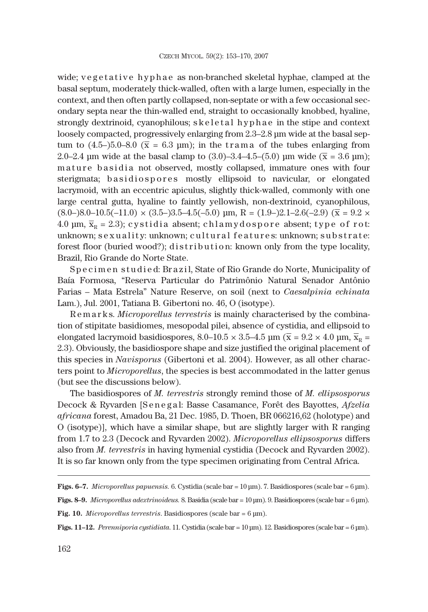wide; v e g e t a tive hyphae as non-branched skeletal hyphae, clamped at the basal septum, moderately thick-walled, often with a large lumen, especially in the context, and then often partly collapsed, non-septate or with a few occasional secondary septa near the thin-walled end, straight to occasionally knobbed, hyaline, strongly dextrinoid, cyanophilous; s k e l e t a l h y p h a e in the stipe and context loosely compacted, progressively enlarging from 2.3–2.8 μm wide at the basal septum to  $(4.5-)5.0-8.0 \times (x = 6.3 \text{ µm})$ ; in the trama of the tubes enlarging from 2.0–2.4 μm wide at the basal clamp to  $(3.0)$ –3.4–4.5– $(5.0)$  μm wide ( $\bar{x}$  = 3.6 μm); mature basidia not observed, mostly collapsed, immature ones with four sterigmata; basidiospores mostly ellipsoid to navicular, or elongated lacrymoid, with an eccentric apiculus, slightly thick-walled, commonly with one large central gutta, hyaline to faintly yellowish, non-dextrinoid, cyanophilous,  $(8.0-)8.0-10.5(-11.0) \times (3.5-)3.5-4.5(-5.0)$  μm, R =  $(1.9-)2.1-2.6(-2.9)$  ( $\bar{x} = 9.2 \times$ 4.0 μm,  $\bar{x}_R = 2.3$ ); cystidia absent; chlamydospore absent; type of rot: unknown; sexuality: unknown; cultural features: unknown; substrate: forest floor (buried wood?); distribution: known only from the type locality, Brazil, Rio Grande do Norte State.

Specimen studied: Brazil, State of Rio Grande do Norte, Municipality of Baía Formosa, "Reserva Particular do Patrimônio Natural Senador Antônio Farias – Mata Estrela" Nature Reserve, on soil (next to *Caesalpinia echinata* Lam.), Jul. 2001, Tatiana B. Gibertoni no. 46, O (isotype).

R e m a r k s. *Microporellus terrestris* is mainly characterised by the combination of stipitate basidiomes, mesopodal pilei, absence of cystidia, and ellipsoid to elongated lacrymoid basidiospores, 8.0–10.5  $\times$  3.5–4.5 μm ( $\bar{x}$  = 9.2  $\times$  4.0 μm,  $\bar{x}_R$  = 2.3). Obviously, the basidiospore shape and size justified the original placement of this species in *Navisporus* (Gibertoni et al. 2004). However, as all other characters point to *Microporellus*, the species is best accommodated in the latter genus (but see the discussions below).

The basidiospores of *M. terrestris* strongly remind those of *M. ellipsosporus* Decock & Ryvarden [S e n e g a l: Basse Casamance, Forêt des Bayottes, *Afzelia africana* forest, Amadou Ba, 21 Dec. 1985, D. Thoen, BR 066216,62 (holotype) and O (isotype)], which have a similar shape, but are slightly larger with R ranging from 1.7 to 2.3 (Decock and Ryvarden 2002). *Microporellus ellipsosporus* differs also from *M. terrestris* in having hymenial cystidia (Decock and Ryvarden 2002). It is so far known only from the type specimen originating from Central Africa.

**Figs. 6–7.** *Microporellus papuensis.* 6. Cystidia (scale bar = 10 μm). 7. Basidiospores (scale bar = 6 μm).

**Figs. 8–9.** *Microporellus adextrinoideus.* 8. Basidia (scale bar = 10 μm). 9. Basidiospores (scale bar = 6 μm).

**Fig. 10.** *Microporellus terrestris*. Basidiospores (scale bar = 6 μm).

**Figs. 11–12.** *Perenniporia cystidiata*. 11. Cystidia (scale bar = 10 μm). 12. Basidiospores (scale bar = 6 μm).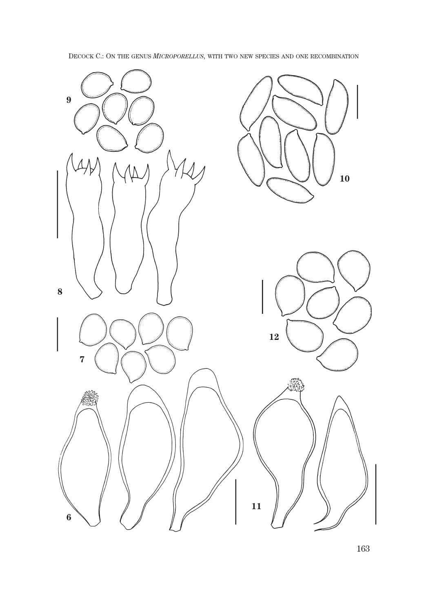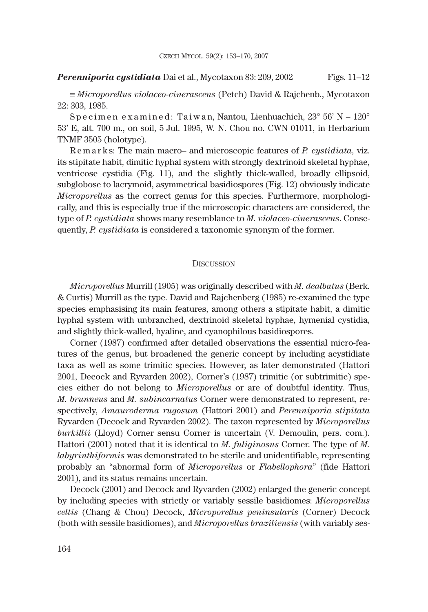#### *Perenniporia cystidiata* Dai et al., Mycotaxon 83: 209, 2002 Figs. 11–12

≡ *Microporellus violaceo-cinerascens* (Petch) David & Rajchenb., Mycotaxon 22: 303, 1985.

Specimen examined: Taiwan, Nantou, Lienhuachich,  $23^{\circ}$  56' N –  $120^{\circ}$ 53' E, alt. 700 m., on soil, 5 Jul. 1995, W. N. Chou no. CWN 01011, in Herbarium TNMF 3505 (holotype).

R e m a r k s: The main macro– and microscopic features of *P. cystidiata*, viz. its stipitate habit, dimitic hyphal system with strongly dextrinoid skeletal hyphae, ventricose cystidia (Fig. 11), and the slightly thick-walled, broadly ellipsoid, subglobose to lacrymoid, asymmetrical basidiospores (Fig. 12) obviously indicate *Microporellus* as the correct genus for this species. Furthermore, morphologically, and this is especially true if the microscopic characters are considered, the type of *P. cystidiata* shows many resemblance to *M. violaceo-cinerascens*. Consequently, *P. cystidiata* is considered a taxonomic synonym of the former.

#### **DISCUSSION**

*Microporellus* Murrill (1905) was originally described with *M. dealbatus* (Berk. & Curtis) Murrill as the type. David and Rajchenberg (1985) re-examined the type species emphasising its main features, among others a stipitate habit, a dimitic hyphal system with unbranched, dextrinoid skeletal hyphae, hymenial cystidia, and slightly thick-walled, hyaline, and cyanophilous basidiospores.

Corner (1987) confirmed after detailed observations the essential micro-features of the genus, but broadened the generic concept by including acystidiate taxa as well as some trimitic species. However, as later demonstrated (Hattori 2001, Decock and Ryvarden 2002), Corner's (1987) trimitic (or subtrimitic) species either do not belong to *Microporellus* or are of doubtful identity. Thus, *M. brunneus* and *M. subincarnatus* Corner were demonstrated to represent, respectively, *Amauroderma rugosum* (Hattori 2001) and *Perenniporia stipitata* Ryvarden (Decock and Ryvarden 2002). The taxon represented by *Microporellus burkillii* (Lloyd) Corner sensu Corner is uncertain (V. Demoulin, pers. com.). Hattori (2001) noted that it is identical to *M. fuliginosus* Corner. The type of *M. labyrinthiformis* was demonstrated to be sterile and unidentifiable, representing probably an "abnormal form of *Microporellus* or *Flabellophora*" (fide Hattori 2001), and its status remains uncertain.

Decock (2001) and Decock and Ryvarden (2002) enlarged the generic concept by including species with strictly or variably sessile basidiomes: *Microporellus celtis* (Chang & Chou) Decock, *Microporellus peninsularis* (Corner) Decock (both with sessile basidiomes), and *Microporellus braziliensis* (with variably ses-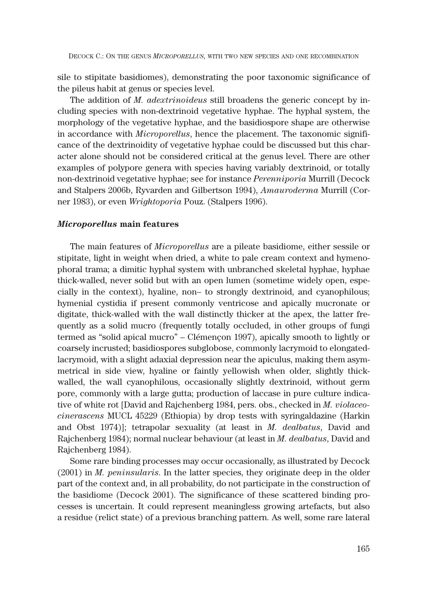sile to stipitate basidiomes), demonstrating the poor taxonomic significance of the pileus habit at genus or species level.

The addition of *M. adextrinoideus* still broadens the generic concept by including species with non-dextrinoid vegetative hyphae. The hyphal system, the morphology of the vegetative hyphae, and the basidiospore shape are otherwise in accordance with *Microporellus*, hence the placement. The taxonomic significance of the dextrinoidity of vegetative hyphae could be discussed but this character alone should not be considered critical at the genus level. There are other examples of polypore genera with species having variably dextrinoid, or totally non-dextrinoid vegetative hyphae; see for instance *Perenniporia* Murrill (Decock and Stalpers 2006b, Ryvarden and Gilbertson 1994), *Amauroderma* Murrill (Corner 1983), or even *Wrightoporia* Pouz. (Stalpers 1996).

## *Microporellus* **main features**

The main features of *Microporellus* are a pileate basidiome, either sessile or stipitate, light in weight when dried, a white to pale cream context and hymenophoral trama; a dimitic hyphal system with unbranched skeletal hyphae, hyphae thick-walled, never solid but with an open lumen (sometime widely open, especially in the context), hyaline, non– to strongly dextrinoid, and cyanophilous; hymenial cystidia if present commonly ventricose and apically mucronate or digitate, thick-walled with the wall distinctly thicker at the apex, the latter frequently as a solid mucro (frequently totally occluded, in other groups of fungi termed as "solid apical mucro" – Clémençon 1997), apically smooth to lightly or coarsely incrusted; basidiospores subglobose, commonly lacrymoid to elongatedlacrymoid, with a slight adaxial depression near the apiculus, making them asymmetrical in side view, hyaline or faintly yellowish when older, slightly thickwalled, the wall cyanophilous, occasionally slightly dextrinoid, without germ pore, commonly with a large gutta; production of laccase in pure culture indicative of white rot [David and Rajchenberg 1984, pers. obs., checked in *M. violaceocinerascens* MUCL 45229 (Ethiopia) by drop tests with syringaldazine (Harkin and Obst 1974)]; tetrapolar sexuality (at least in *M. dealbatus*, David and Rajchenberg 1984); normal nuclear behaviour (at least in *M. dealbatus*, David and Rajchenberg 1984).

Some rare binding processes may occur occasionally, as illustrated by Decock (2001) in *M. peninsularis*. In the latter species, they originate deep in the older part of the context and, in all probability, do not participate in the construction of the basidiome (Decock 2001). The significance of these scattered binding processes is uncertain. It could represent meaningless growing artefacts, but also a residue (relict state) of a previous branching pattern. As well, some rare lateral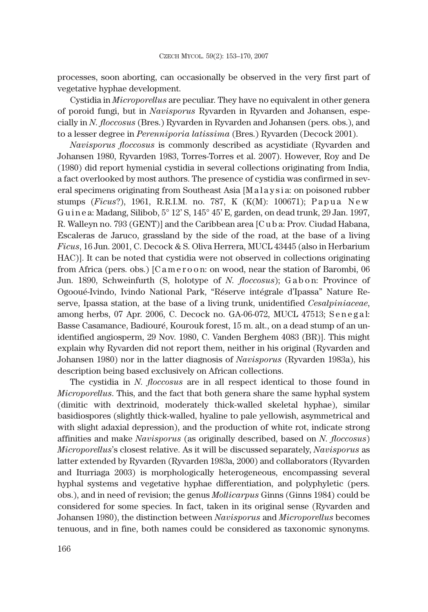processes, soon aborting, can occasionally be observed in the very first part of vegetative hyphae development.

Cystidia in *Microporellus* are peculiar. They have no equivalent in other genera of poroid fungi, but in *Navisporus* Ryvarden in Ryvarden and Johansen, especially in *N. floccosus* (Bres.) Ryvarden in Ryvarden and Johansen (pers. obs.), and to a lesser degree in *Perenniporia latissima* (Bres.) Ryvarden (Decock 2001).

*Navisporus floccosus* is commonly described as acystidiate (Ryvarden and Johansen 1980, Ryvarden 1983, Torres-Torres et al. 2007). However, Roy and De (1980) did report hymenial cystidia in several collections originating from India, a fact overlooked by most authors. The presence of cystidia was confirmed in several specimens originating from Southeast Asia [Malaysia: on poisoned rubber stumps (*Ficus*?), 1961, R.R.I.M. no. 787, K (K(M): 100671); Papua New G u i n e a: Madang, Silibob, 5° 12' S, 145° 45' E, garden, on dead trunk, 29 Jan. 1997, R. Walleyn no. 793 (GENT)] and the Caribbean area [C u b a: Prov. Ciudad Habana, Escaleras de Jaruco, grassland by the side of the road, at the base of a living *Ficus*, 16 Jun. 2001, C. Decock & S. Oliva Herrera, MUCL 43445 (also in Herbarium HAC)]. It can be noted that cystidia were not observed in collections originating from Africa (pers. obs.) [C a m e r o o n: on wood, near the station of Barombi, 06 Jun. 1890, Schweinfurth (S, holotype of *N. floccosus*); Gabon: Province of Ogooué-Ivindo, Ivindo National Park, "Réserve intégrale d'Ipassa" Nature Reserve, Ipassa station, at the base of a living trunk, unidentified *Cesalpiniaceae*, among herbs, 07 Apr. 2006, C. Decock no. GA-06-072, MUCL 47513; Senegal: Basse Casamance, Badiouré, Kourouk forest, 15 m. alt., on a dead stump of an unidentified angiosperm, 29 Nov. 1980, C. Vanden Berghem 4083 (BR)]. This might explain why Ryvarden did not report them, neither in his original (Ryvarden and Johansen 1980) nor in the latter diagnosis of *Navisporus* (Ryvarden 1983a), his description being based exclusively on African collections.

The cystidia in *N. floccosus* are in all respect identical to those found in *Microporellus*. This, and the fact that both genera share the same hyphal system (dimitic with dextrinoid, moderately thick-walled skeletal hyphae), similar basidiospores (slightly thick-walled, hyaline to pale yellowish, asymmetrical and with slight adaxial depression), and the production of white rot, indicate strong affinities and make *Navisporus* (as originally described, based on *N. floccosus*) *Microporellus*'s closest relative. As it will be discussed separately, *Navisporus* as latter extended by Ryvarden (Ryvarden 1983a, 2000) and collaborators (Ryvarden and Iturriaga 2003) is morphologically heterogeneous, encompassing several hyphal systems and vegetative hyphae differentiation, and polyphyletic (pers. obs.), and in need of revision; the genus *Mollicarpus* Ginns (Ginns 1984) could be considered for some species. In fact, taken in its original sense (Ryvarden and Johansen 1980), the distinction between *Navisporus* and *Microporellus* becomes tenuous, and in fine, both names could be considered as taxonomic synonyms.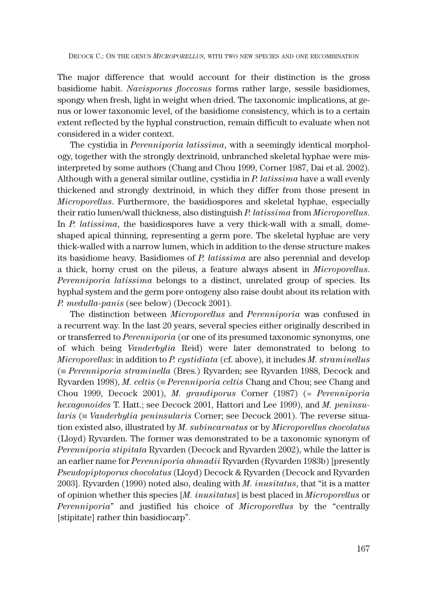The major difference that would account for their distinction is the gross basidiome habit. *Navisporus floccosus* forms rather large, sessile basidiomes, spongy when fresh, light in weight when dried. The taxonomic implications, at genus or lower taxonomic level, of the basidiome consistency, which is to a certain extent reflected by the hyphal construction, remain difficult to evaluate when not considered in a wider context.

The cystidia in *Perenniporia latissima*, with a seemingly identical morphology, together with the strongly dextrinoid, unbranched skeletal hyphae were misinterpreted by some authors (Chang and Chou 1999, Corner 1987, Dai et al. 2002). Although with a general similar outline, cystidia in *P. latissima* have a wall evenly thickened and strongly dextrinoid, in which they differ from those present in *Microporellus*. Furthermore, the basidiospores and skeletal hyphae, especially their ratio lumen/wall thickness, also distinguish *P. latissima* from *Microporellus*. In *P. latissima*, the basidiospores have a very thick-wall with a small, domeshaped apical thinning, representing a germ pore. The skeletal hyphae are very thick-walled with a narrow lumen, which in addition to the dense structure makes its basidiome heavy. Basidiomes of *P. latissima* are also perennial and develop a thick, horny crust on the pileus, a feature always absent in *Microporellus*. *Perenniporia latissima* belongs to a distinct, unrelated group of species. Its hyphal system and the germ pore ontogeny also raise doubt about its relation with *P. medulla-panis* (see below) (Decock 2001).

The distinction between *Microporellus* and *Perenniporia* was confused in a recurrent way. In the last 20 years, several species either originally described in or transferred to *Perenniporia* (or one of its presumed taxonomic synonyms, one of which being *Vanderbylia* Reid) were later demonstrated to belong to *Microporellus*: in addition to *P. cystidiata* (cf. above), it includes *M. straminellus* (≡ *Perenniporia straminella* (Bres.) Ryvarden; see Ryvarden 1988, Decock and Ryvarden 1998), *M. celtis* (≡ *Perenniporia celtis* Chang and Chou; see Chang and Chou 1999, Decock 2001), *M. grandiporus* Corner (1987) (= *Perenniporia hexagonoides* T. Hatt.; see Decock 2001, Hattori and Lee 1999), and *M. peninsularis* (≡ *Vanderbylia peninsularis* Corner; see Decock 2001). The reverse situation existed also, illustrated by *M. subincarnatus* or by *Microporellus chocolatus* (Lloyd) Ryvarden. The former was demonstrated to be a taxonomic synonym of *Perenniporia stipitata* Ryvarden (Decock and Ryvarden 2002), while the latter is an earlier name for *Perenniporia ahmadii* Ryvarden (Ryvarden 1983b) [presently *Pseudopiptoporus chocolatus* (Lloyd) Decock & Ryvarden (Decock and Ryvarden 2003]. Ryvarden (1990) noted also, dealing with *M. inusitatus*, that "it is a matter of opinion whether this species [*M. inusitatus*] is best placed in *Microporellus* or *Perenniporia*" and justified his choice of *Microporellus* by the "centrally [stipitate] rather thin basidiocarp".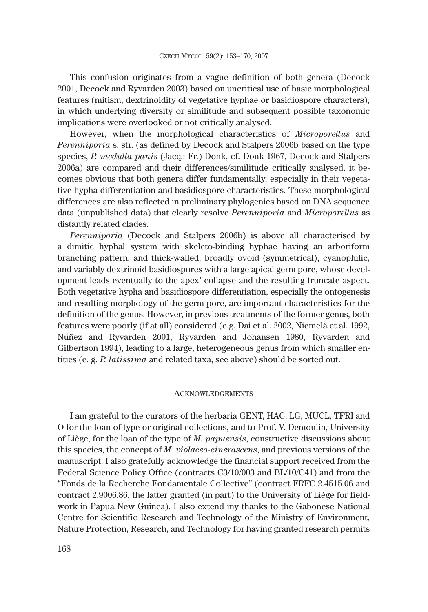This confusion originates from a vague definition of both genera (Decock 2001, Decock and Ryvarden 2003) based on uncritical use of basic morphological features (mitism, dextrinoidity of vegetative hyphae or basidiospore characters), in which underlying diversity or similitude and subsequent possible taxonomic implications were overlooked or not critically analysed.

However, when the morphological characteristics of *Microporellus* and *Perenniporia* s. str. (as defined by Decock and Stalpers 2006b based on the type species, *P. medulla-panis* (Jacq.: Fr.) Donk, cf. Donk 1967, Decock and Stalpers 2006a) are compared and their differences/similitude critically analysed, it becomes obvious that both genera differ fundamentally, especially in their vegetative hypha differentiation and basidiospore characteristics. These morphological differences are also reflected in preliminary phylogenies based on DNA sequence data (unpublished data) that clearly resolve *Perenniporia* and *Microporellus* as distantly related clades.

*Perenniporia* (Decock and Stalpers 2006b) is above all characterised by a dimitic hyphal system with skeleto-binding hyphae having an arboriform branching pattern, and thick-walled, broadly ovoid (symmetrical), cyanophilic, and variably dextrinoid basidiospores with a large apical germ pore, whose development leads eventually to the apex' collapse and the resulting truncate aspect. Both vegetative hypha and basidiospore differentiation, especially the ontogenesis and resulting morphology of the germ pore, are important characteristics for the definition of the genus. However, in previous treatments of the former genus, both features were poorly (if at all) considered (e.g. Dai et al. 2002, Niemelä et al. 1992, Núñez and Ryvarden 2001, Ryvarden and Johansen 1980, Ryvarden and Gilbertson 1994), leading to a large, heterogeneous genus from which smaller entities (e. g. *P. latissima* and related taxa, see above) should be sorted out.

#### ACKNOWLEDGEMENTS

I am grateful to the curators of the herbaria GENT, HAC, LG, MUCL, TFRI and O for the loan of type or original collections, and to Prof. V. Demoulin, University of Liège, for the loan of the type of *M. papuensis*, constructive discussions about this species, the concept of *M. violaceo-cinerascens*, and previous versions of the manuscript. I also gratefully acknowledge the financial support received from the Federal Science Policy Office (contracts C3/10/003 and BL/10/C41) and from the "Fonds de la Recherche Fondamentale Collective" (contract FRFC 2.4515.06 and contract 2.9006.86, the latter granted (in part) to the University of Liège for fieldwork in Papua New Guinea). I also extend my thanks to the Gabonese National Centre for Scientific Research and Technology of the Ministry of Environment, Nature Protection, Research, and Technology for having granted research permits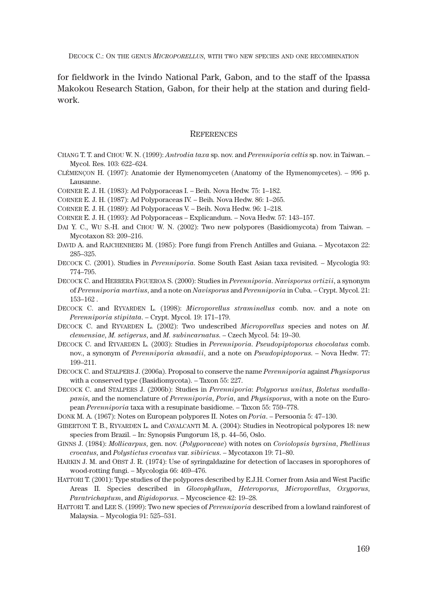for fieldwork in the Ivindo National Park, Gabon, and to the staff of the Ipassa Makokou Research Station, Gabon, for their help at the station and during fieldwork.

#### **REFERENCES**

- CHANG T. T. and CHOU W. N. (1999): *Antrodia taxa* sp. nov. and *Perenniporia celtis* sp. nov. in Taiwan. Mycol. Res. 103: 622–624.
- CLÉMENÇON H. (1997): Anatomie der Hymenomyceten (Anatomy of the Hymenomycetes). 996 p. Lausanne.
- CORNER E. J. H. (1983): Ad Polyporaceas I. Beih. Nova Hedw. 75: 1–182.
- CORNER E. J. H. (1987): Ad Polyporaceas IV. Beih. Nova Hedw. 86: 1–265.
- CORNER E. J. H. (1989): Ad Polyporaceas V. Beih. Nova Hedw. 96: 1–218.
- CORNER E. J. H. (1993): Ad Polyporaceas Explicandum. Nova Hedw. 57: 143–157.
- DAI Y. C., WU S.-H. and CHOU W. N. (2002): Two new polypores (Basidiomycota) from Taiwan. Mycotaxon 83: 209–216.
- DAVID A. and RAJCHENBERG M. (1985): Pore fungi from French Antilles and Guiana. Mycotaxon 22: 285–325.
- DECOCK C. (2001). Studies in *Perenniporia*. Some South East Asian taxa revisited. Mycologia 93: 774–795.
- DECOCK C. and HERRERA FIGUEROA S. (2000): Studies in *Perenniporia*. *Navisporus ortizii*, a synonym of *Perenniporia martius*, and a note on *Navisporus* and *Perenniporia* in Cuba. – Crypt. Mycol. 21: 153–162 .
- DECOCK C. and RYVARDEN L. (1998): *Microporellus straminellus* comb. nov. and a note on *Perenniporia stipitata*. – Crypt. Mycol. 19: 171–179.
- DECOCK C. and RYVARDEN L. (2002): Two undescribed *Microporellus* species and notes on *M. clemensiae*, *M. setigerus*, and *M. subincarnatus*. – Czech Mycol. 54: 19–30.
- DECOCK C. and RYVARDEN L. (2003): Studies in *Perenniporia*. *Pseudopiptoporus chocolatus* comb. nov., a synonym of *Perenniporia ahmadii*, and a note on *Pseudopiptoporus*. – Nova Hedw. 77: 199–211.
- DECOCK C. and STALPERS J. (2006a). Proposal to conserve the name *Perenniporia* against *Physisporus* with a conserved type (Basidiomycota). – Taxon 55: 227.
- DECOCK C. and STALPERS J. (2006b): Studies in *Perenniporia*: *Polyporus unitus*, *Boletus medullapanis*, and the nomenclature of *Perenniporia*, *Poria*, and *Physisporus*, with a note on the European *Perenniporia* taxa with a resupinate basidiome. – Taxon 55: 759–778.
- DONK M. A. (1967): Notes on European polypores II. Notes on *Poria*. Persoonia 5: 47–130.
- GIBERTONI T. B., RYVARDEN L. and CAVALCANTI M. A. (2004): Studies in Neotropical polypores 18: new species from Brazil. – In: Synopsis Fungorum 18, p. 44–56, Oslo.
- GINNS J. (1984): *Mollicarpus*, gen. nov. (*Polyporaceae*) with notes on *Coriolopsis byrsina*, *Phellinus crocatus*, and *Polystictus crocatus* var. *sibiricus*. – Mycotaxon 19: 71–80.
- HARKIN J. M. and OBST J. R. (1974): Use of syringaldazine for detection of laccases in sporophores of wood-rotting fungi. – Mycologia 66: 469–476.
- HATTORI T. (2001): Type studies of the polypores described by E.J.H. Corner from Asia and West Pacific Areas II. Species described in *Gloeophyllum*, *Heteroporus*, *Microporellus*, *Oxyporus*, *Paratrichaptum*, and *Rigidoporus*. – Mycoscience 42: 19–28.
- HATTORI T. and LEE S. (1999): Two new species of *Perenniporia* described from a lowland rainforest of Malaysia. – Mycologia 91: 525–531.